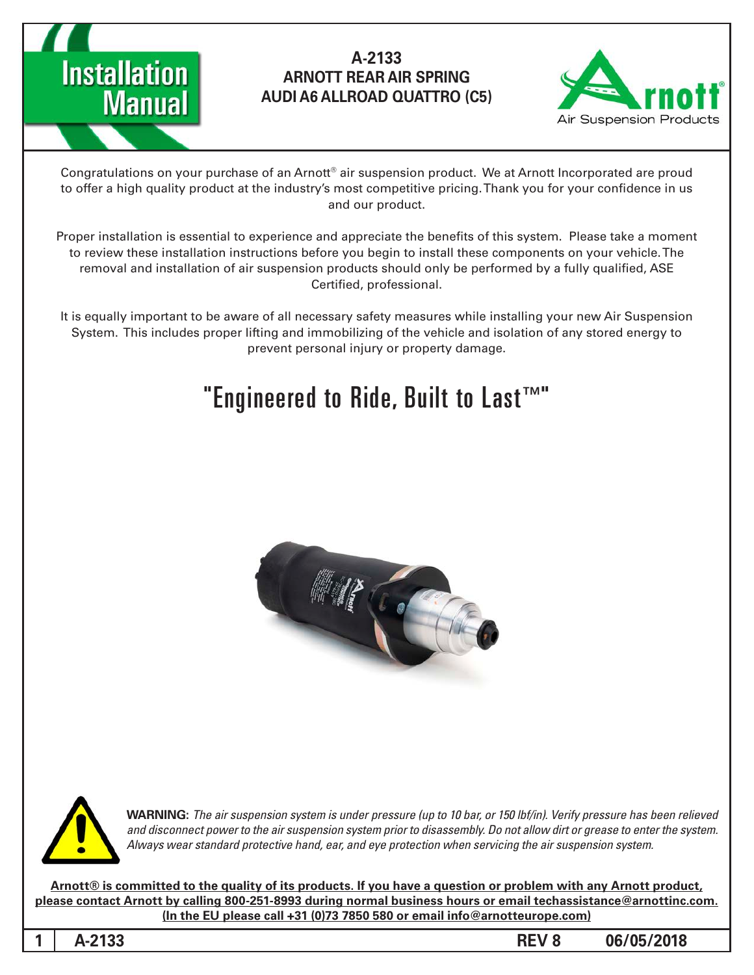



Congratulations on your purchase of an Arnott® air suspension product. We at Arnott Incorporated are proud to offer a high quality product at the industry's most competitive pricing. Thank you for your confidence in us and our product.

Proper installation is essential to experience and appreciate the benefits of this system. Please take a moment to review these installation instructions before you begin to install these components on your vehicle. The removal and installation of air suspension products should only be performed by a fully qualified, ASE Certified, professional.

It is equally important to be aware of all necessary safety measures while installing your new Air Suspension System. This includes proper lifting and immobilizing of the vehicle and isolation of any stored energy to prevent personal injury or property damage.

# "Engineered to Ride, Built to Last $T^M$ "





*WARNING: The air suspension system is under pressure (up to 10 bar, or 150 lbf/in). Verify pressure has been relieved* and disconnect power to the air suspension system prior to disassembly. Do not allow dirt or grease to enter the system. Always wear standard protective hand, ear, and eye protection when servicing the air suspension system.

Arnott® is committed to the quality of its products. If you have a question or problem with any Arnott product, **please contact Arnott by calling 800-251-8993 during normal business hours or email techassistance@arnottinc.com.**  $($ In the EU please call  $+31$   $(0)73$  7850 580 or email info@arnotteurope.com $)$ 

**1**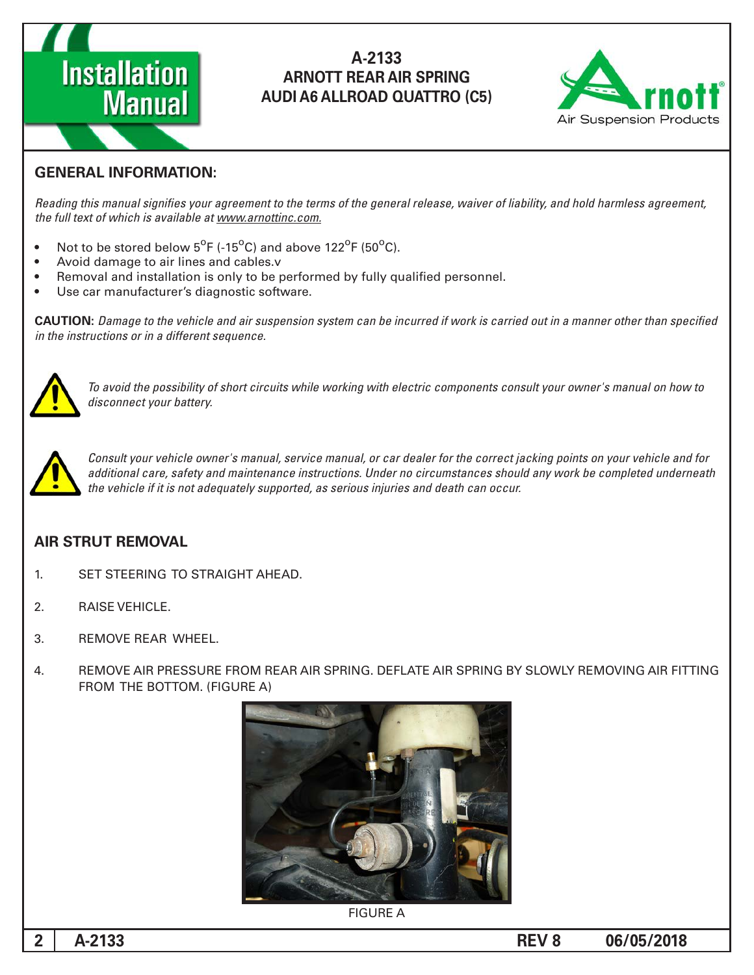



#### **GENERAL INFORMATION:**

Reading this manual signifies your agreement to the terms of the general release, waiver of liability, and hold harmless agreement, the full text of which is available at www.arnottinc.com.

- $\bullet$  Not to be stored below 5<sup>o</sup>F (-15<sup>o</sup>C) and above 122<sup>o</sup>F (50<sup>o</sup>C).
- Avoid damage to air lines and cables.v
- Removal and installation is only to be performed by fully qualified personnel.
- Use car manufacturer's diagnostic software.

**CAUTION:** Damage to the vehicle and air suspension system can be incurred if work is carried out in a manner other than specified *in the instructions or in a different sequence.* 



 *to how on manual s'owner your consult components electric with working while circuits short of possibility the avoid To* disconnect your battery.



*Consult your vehicle owner's manual, service manual, or car dealer for the correct jacking points on your vehicle and for* additional care, safety and maintenance instructions. Under no circumstances should any work be completed underneath the vehicle if it is not adequately supported, as serious injuries and death can occur.

#### **AIR STRUT REMOVAL**

- 1. SET STEERING TO STRAIGHT AHEAD.
- 2. RAISE VEHICLE.
- 3. REMOVE REAR WHEEL
- 4. REMOVE AIR PRESSURE FROM REAR AIR SPRING. DEFLATE AIR SPRING BY SLOWLY REMOVING AIR FITTING FROM THE BOTTOM. (FIGURE A)



**FIGURE A**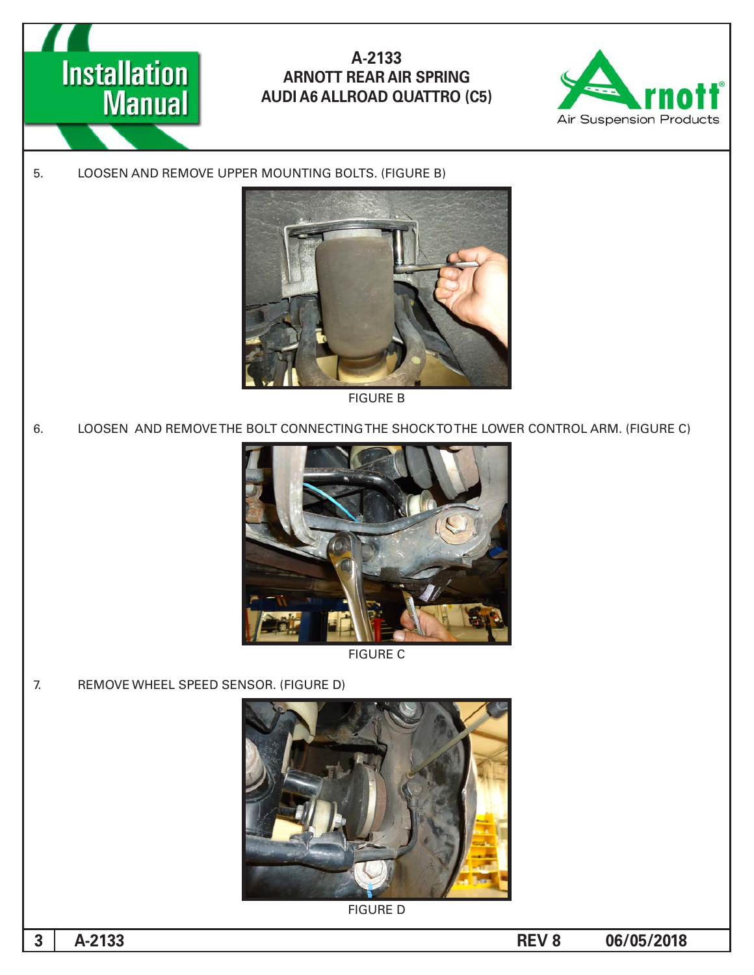



5. LOOSEN AND REMOVE UPPER MOUNTING BOLTS. (FIGURE B)



**FIGURE B** 

6. LOOSEN AND REMOVE THE BOLT CONNECTING THE SHOCK TO THE LOWER CONTROL ARM. (FIGURE C)



**FIGURE C** 

7. REMOVE WHEEL SPEED SENSOR. (FIGURE D)



**FIGURE D**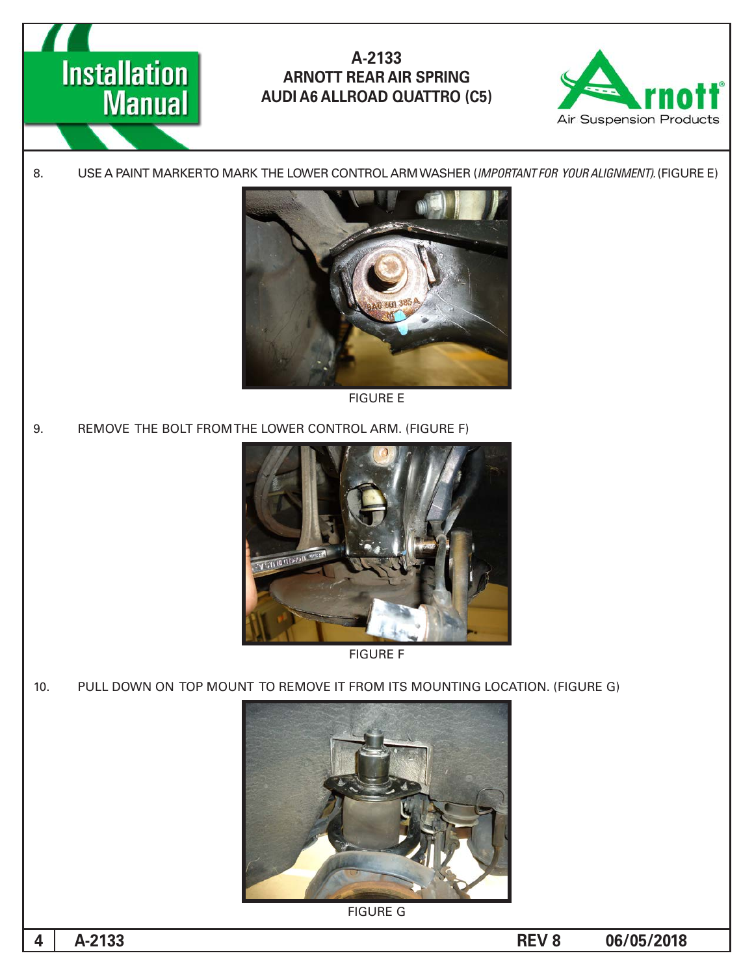



8. USE A PAINT MARKERTO MARK THE LOWER CONTROL ARM WASHER (IMPORTANT FOR YOUR ALIGNMENT). (FIGURE E)



**FIGURE E** 

9. REMOVE THE BOLT FROM THE LOWER CONTROL ARM. (FIGURE F)





10. PULL DOWN ON TOP MOUNT TO REMOVE IT FROM ITS MOUNTING LOCATION. (FIGURE G)



**FIGURE G** 

**4**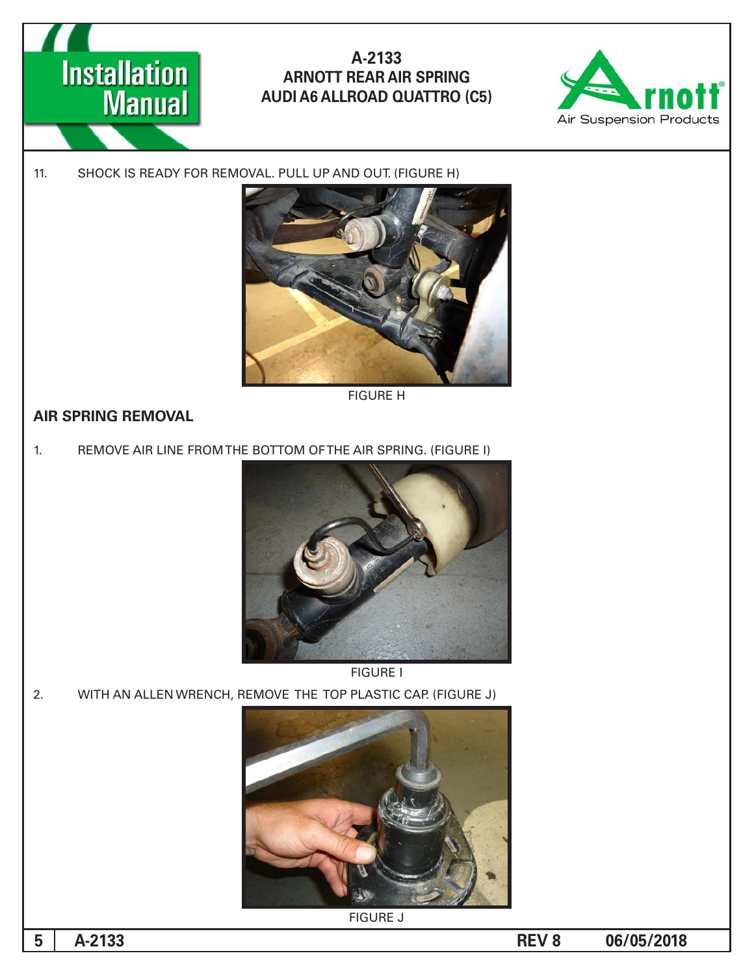



#### 11. SHOCK IS READY FOR REMOVAL. PULL UP AND OUT. (FIGURE H)



**FIGURE H** 

## **AIR SPRING REMOVAL**

1. REMOVE AIR LINE FROM THE BOTTOM OF THE AIR SPRING. (FIGURE I)



**FIGURE I** 

2. WITH AN ALLEN WRENCH, REMOVE THE TOP PLASTIC CAP. (FIGURE J)



**FIGURE J**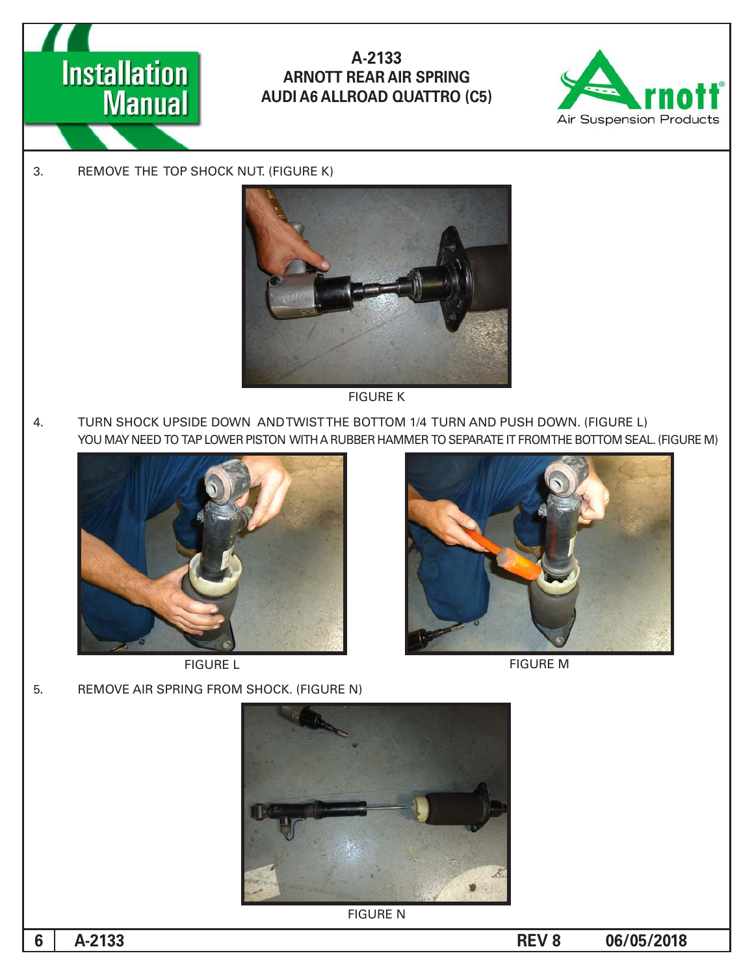



3. REMOVE THE TOP SHOCK NUT. (FIGURE K)



**FIGURE K** 

4. TURN SHOCK UPSIDE DOWN AND TWIST THE BOTTOM 1/4 TURN AND PUSH DOWN. (FIGURE L) YOU MAY NEED TO TAP LOWER PISTON WITH A RUBBER HAMMER TO SEPARATE IT FROMTHE BOTTOM SEAL. (FIGURE M)



**FIGURE L** 



**FIGURE M** 

5. REMOVE AIR SPRING FROM SHOCK. (FIGURE N)



**FIGURE N** 

**6**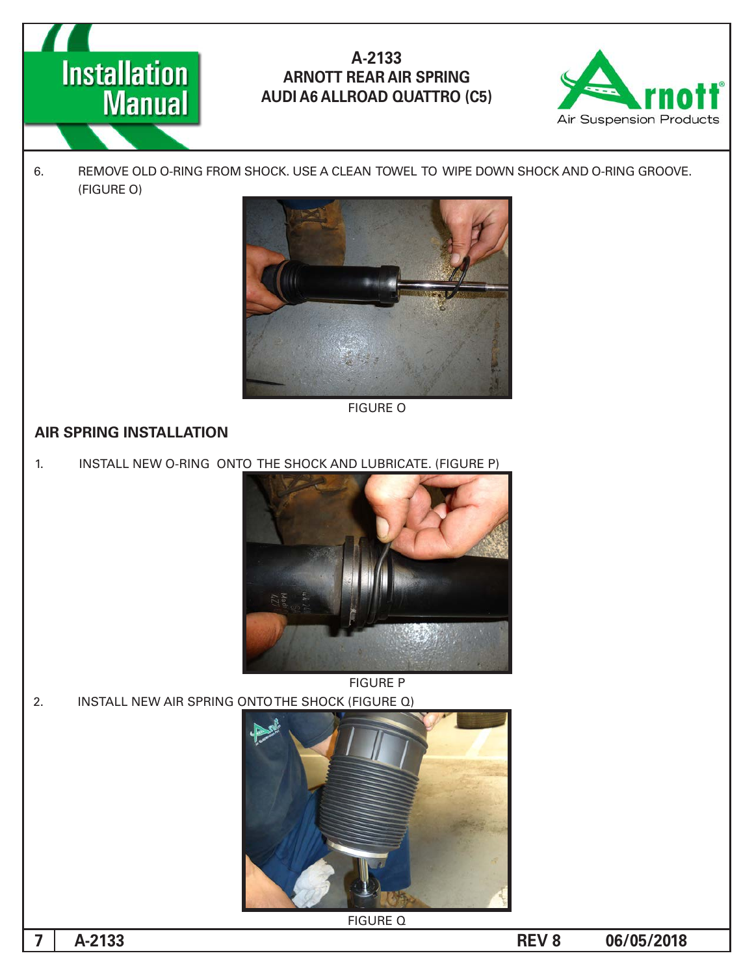



6. REMOVE OLD O-RING FROM SHOCK. USE A CLEAN TOWEL TO WIPE DOWN SHOCK AND O-RING GROOVE. (FIGURE O)



**FIGURE O** 

#### **AIR SPRING INSTALLATION**

1. INSTALL NEW O-RING ONTO THE SHOCK AND LUBRICATE. (FIGURE P)



2. INSTALL NEW AIR SPRING ONTO THE SHOCK (FIGURE Q)



**FIGURE Q** 

**7**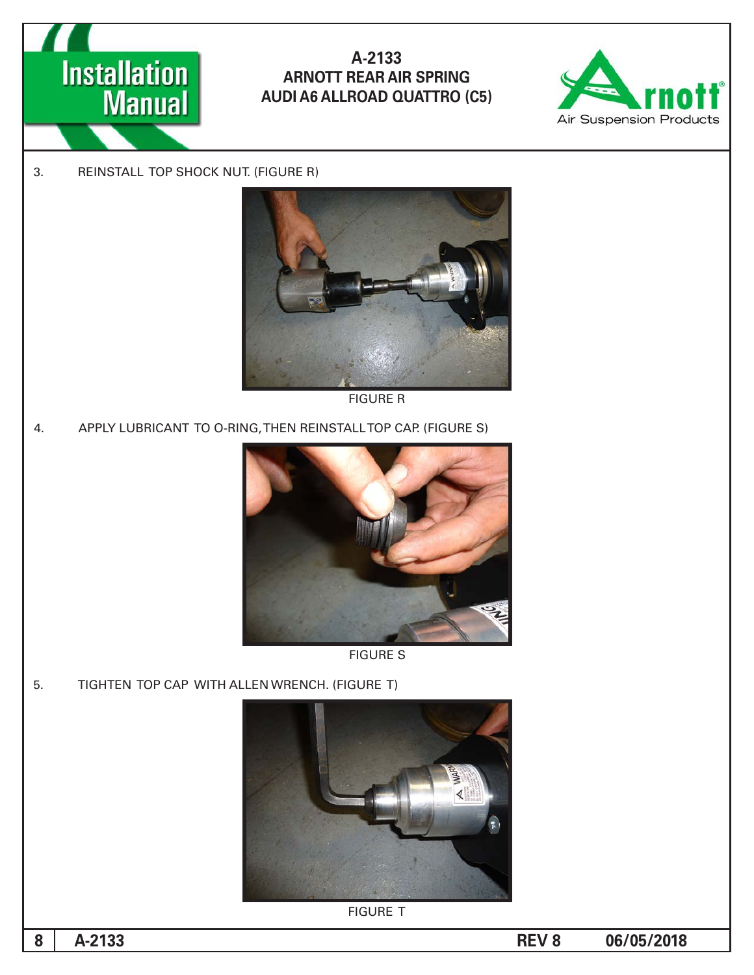



3. REINSTALL TOP SHOCK NUT. (FIGURE R)



**FIGURE R** 

4. APPLY LUBRICANT TO O-RING, THEN REINSTALL TOP CAP. (FIGURE S)



**FIGURE S** 

5. TIGHTEN TOP CAP WITH ALLEN WRENCH. (FIGURE T)



**FIGURE T** 

**8**